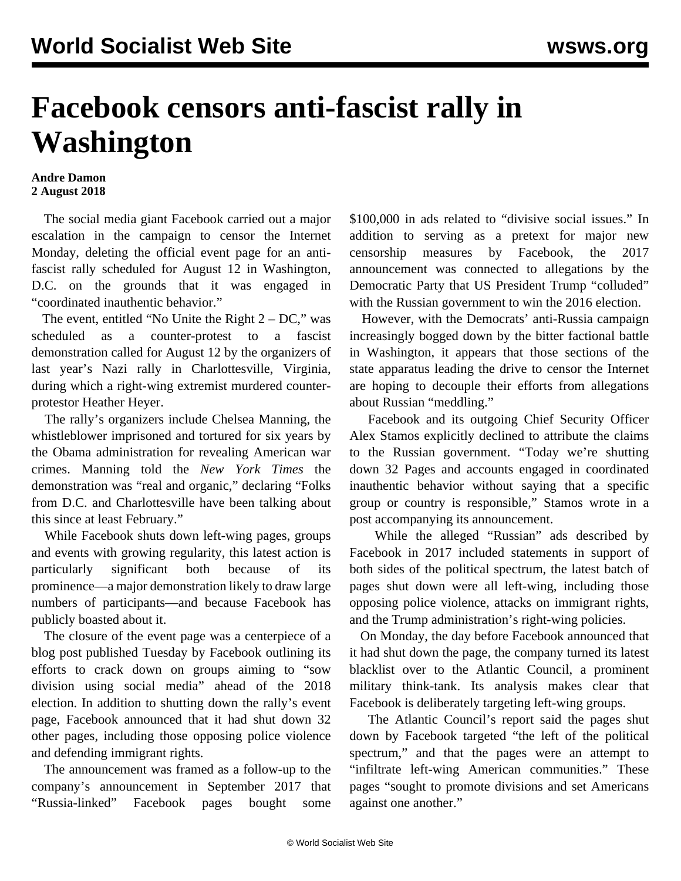## **Facebook censors anti-fascist rally in Washington**

## **Andre Damon 2 August 2018**

 The social media giant Facebook carried out a major escalation in the campaign to censor the Internet Monday, deleting the official event page for an antifascist rally scheduled for August 12 in Washington, D.C. on the grounds that it was engaged in "coordinated inauthentic behavior."

The event, entitled "No Unite the Right  $2 - DC$ ," was scheduled as a counter-protest to a fascist demonstration called for August 12 by the organizers of last year's Nazi rally in Charlottesville, Virginia, during which a right-wing extremist murdered counterprotestor Heather Heyer.

 The rally's organizers include Chelsea Manning, the whistleblower imprisoned and tortured for six years by the Obama administration for revealing American war crimes. Manning told the *New York Times* the demonstration was "real and organic," declaring "Folks from D.C. and Charlottesville have been talking about this since at least February."

 While Facebook shuts down left-wing pages, groups and events with growing regularity, this latest action is particularly significant both because of its prominence—a major demonstration likely to draw large numbers of participants—and because Facebook has publicly boasted about it.

 The closure of the event page was a centerpiece of a blog post published Tuesday by Facebook outlining its efforts to crack down on groups aiming to "sow division using social media" ahead of the 2018 election. In addition to shutting down the rally's event page, Facebook announced that it had shut down 32 other pages, including those opposing police violence and defending immigrant rights.

 The announcement was framed as a follow-up to the company's announcement in September 2017 that "Russia-linked" Facebook pages bought some \$100,000 in ads related to "divisive social issues." In addition to serving as a pretext for major new censorship measures by Facebook, the 2017 announcement was connected to allegations by the Democratic Party that US President Trump "colluded" with the Russian government to win the 2016 election.

 However, with the Democrats' anti-Russia campaign increasingly bogged down by the bitter factional battle in Washington, it appears that those sections of the state apparatus leading the drive to censor the Internet are hoping to decouple their efforts from allegations about Russian "meddling."

 Facebook and its outgoing Chief Security Officer Alex Stamos explicitly declined to attribute the claims to the Russian government. "Today we're shutting down 32 Pages and accounts engaged in coordinated inauthentic behavior without saying that a specific group or country is responsible," Stamos wrote in a post accompanying its announcement.

 While the alleged "Russian" ads described by Facebook in 2017 included statements in support of both sides of the political spectrum, the latest batch of pages shut down were all left-wing, including those opposing police violence, attacks on immigrant rights, and the Trump administration's right-wing policies.

 On Monday, the day before Facebook announced that it had shut down the page, the company turned its latest blacklist over to the Atlantic Council, a prominent military think-tank. Its analysis makes clear that Facebook is deliberately targeting left-wing groups.

 The Atlantic Council's report said the pages shut down by Facebook targeted "the left of the political spectrum," and that the pages were an attempt to "infiltrate left-wing American communities." These pages "sought to promote divisions and set Americans against one another."